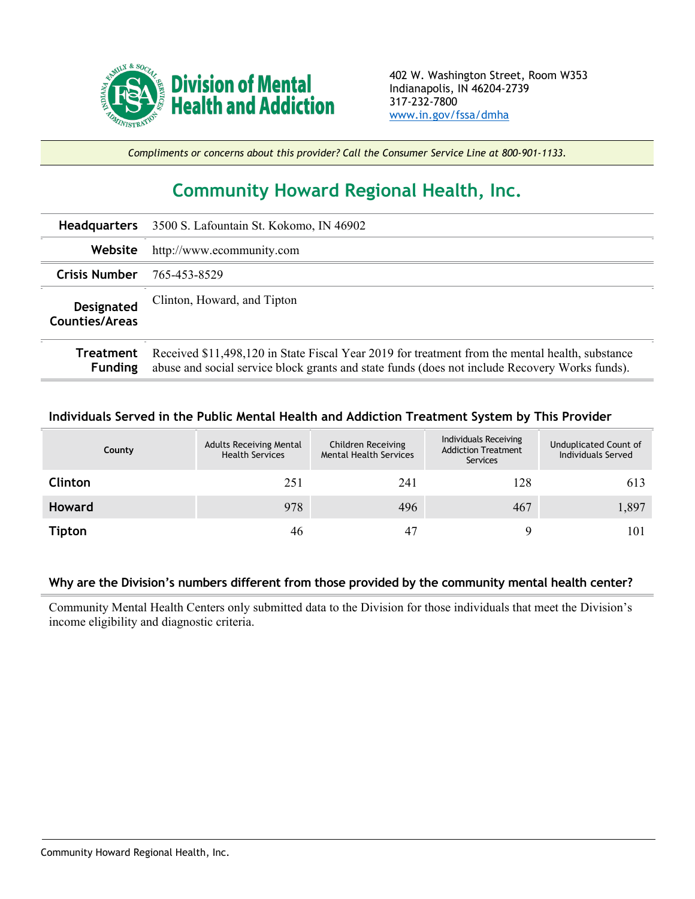

*Compliments or concerns about this provider? Call the Consumer Service Line at 800-901-1133.*

## **Community Howard Regional Health, Inc.**

| <b>Headquarters</b>                 | 3500 S. Lafountain St. Kokomo, IN 46902                                                                                                                                                           |
|-------------------------------------|---------------------------------------------------------------------------------------------------------------------------------------------------------------------------------------------------|
| Website                             | http://www.ecommunity.com                                                                                                                                                                         |
| <b>Crisis Number</b>                | 765-453-8529                                                                                                                                                                                      |
| <b>Designated</b><br>Counties/Areas | Clinton, Howard, and Tipton                                                                                                                                                                       |
| Treatment<br><b>Funding</b>         | Received \$11,498,120 in State Fiscal Year 2019 for treatment from the mental health, substance<br>abuse and social service block grants and state funds (does not include Recovery Works funds). |

## **Individuals Served in the Public Mental Health and Addiction Treatment System by This Provider**

| County         | <b>Adults Receiving Mental</b><br><b>Health Services</b> | Children Receiving<br><b>Mental Health Services</b> | Individuals Receiving<br><b>Addiction Treatment</b><br>Services | Unduplicated Count of<br>Individuals Served |
|----------------|----------------------------------------------------------|-----------------------------------------------------|-----------------------------------------------------------------|---------------------------------------------|
| <b>Clinton</b> | 251                                                      | 241                                                 | 128                                                             | 613                                         |
| <b>Howard</b>  | 978                                                      | 496                                                 | 467                                                             | 1,897                                       |
| <b>Tipton</b>  | 46                                                       |                                                     |                                                                 | 101                                         |

## **Why are the Division's numbers different from those provided by the community mental health center?**

Community Mental Health Centers only submitted data to the Division for those individuals that meet the Division's income eligibility and diagnostic criteria.